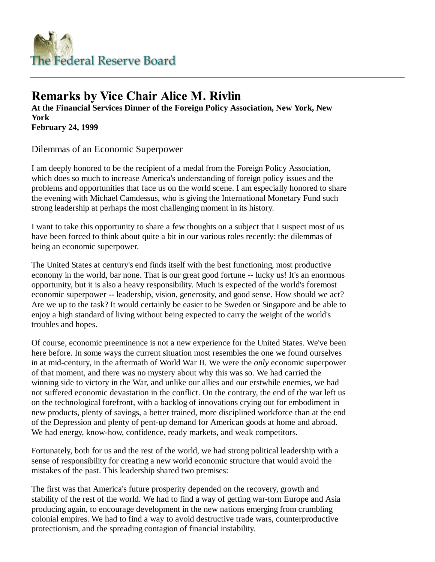

## **Remarks by Vice Chair Alice M. Rivlin**

**At the Financial Services Dinner of the Foreign Policy Association, New York, New York February 24, 1999**

Dilemmas of an Economic Superpower

I am deeply honored to be the recipient of a medal from the Foreign Policy Association, which does so much to increase America's understanding of foreign policy issues and the problems and opportunities that face us on the world scene. I am especially honored to share the evening with Michael Camdessus, who is giving the International Monetary Fund such strong leadership at perhaps the most challenging moment in its history.

I want to take this opportunity to share a few thoughts on a subject that I suspect most of us have been forced to think about quite a bit in our various roles recently: the dilemmas of being an economic superpower.

The United States at century's end finds itself with the best functioning, most productive economy in the world, bar none. That is our great good fortune -- lucky us! It's an enormous opportunity, but it is also a heavy responsibility. Much is expected of the world's foremost economic superpower -- leadership, vision, generosity, and good sense. How should we act? Are we up to the task? It would certainly be easier to be Sweden or Singapore and be able to enjoy a high standard of living without being expected to carry the weight of the world's troubles and hopes.

Of course, economic preeminence is not a new experience for the United States. We've been here before. In some ways the current situation most resembles the one we found ourselves in at mid-century, in the aftermath of World War II. We were the *only* economic superpower of that moment, and there was no mystery about why this was so. We had carried the winning side to victory in the War, and unlike our allies and our erstwhile enemies, we had not suffered economic devastation in the conflict. On the contrary, the end of the war left us on the technological forefront, with a backlog of innovations crying out for embodiment in new products, plenty of savings, a better trained, more disciplined workforce than at the end of the Depression and plenty of pent-up demand for American goods at home and abroad. We had energy, know-how, confidence, ready markets, and weak competitors.

Fortunately, both for us and the rest of the world, we had strong political leadership with a sense of responsibility for creating a new world economic structure that would avoid the mistakes of the past. This leadership shared two premises:

The first was that America's future prosperity depended on the recovery, growth and stability of the rest of the world. We had to find a way of getting war-torn Europe and Asia producing again, to encourage development in the new nations emerging from crumbling colonial empires. We had to find a way to avoid destructive trade wars, counterproductive protectionism, and the spreading contagion of financial instability.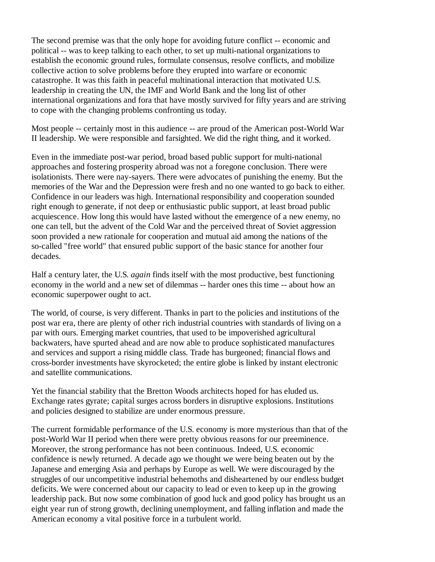The second premise was that the only hope for avoiding future conflict -- economic and political -- was to keep talking to each other, to set up multi-national organizations to establish the economic ground rules, formulate consensus, resolve conflicts, and mobilize collective action to solve problems before they erupted into warfare or economic catastrophe. It was this faith in peaceful multinational interaction that motivated U.S. leadership in creating the UN, the IMF and World Bank and the long list of other international organizations and fora that have mostly survived for fifty years and are striving to cope with the changing problems confronting us today.

Most people -- certainly most in this audience -- are proud of the American post-World War II leadership. We were responsible and farsighted. We did the right thing, and it worked.

Even in the immediate post-war period, broad based public support for multi-national approaches and fostering prosperity abroad was not a foregone conclusion. There were isolationists. There were nay-sayers. There were advocates of punishing the enemy. But the memories of the War and the Depression were fresh and no one wanted to go back to either. Confidence in our leaders was high. International responsibility and cooperation sounded right enough to generate, if not deep or enthusiastic public support, at least broad public acquiescence. How long this would have lasted without the emergence of a new enemy, no one can tell, but the advent of the Cold War and the perceived threat of Soviet aggression soon provided a new rationale for cooperation and mutual aid among the nations of the so-called "free world" that ensured public support of the basic stance for another four decades.

Half a century later, the U.S. *again* finds itself with the most productive, best functioning economy in the world and a new set of dilemmas -- harder ones this time -- about how an economic superpower ought to act.

The world, of course, is very different. Thanks in part to the policies and institutions of the post war era, there are plenty of other rich industrial countries with standards of living on a par with ours. Emerging market countries, that used to be impoverished agricultural backwaters, have spurted ahead and are now able to produce sophisticated manufactures and services and support a rising middle class. Trade has burgeoned; financial flows and cross-border investments have skyrocketed; the entire globe is linked by instant electronic and satellite communications.

Yet the financial stability that the Bretton Woods architects hoped for has eluded us. Exchange rates gyrate; capital surges across borders in disruptive explosions. Institutions and policies designed to stabilize are under enormous pressure.

The current formidable performance of the U.S. economy is more mysterious than that of the post-World War II period when there were pretty obvious reasons for our preeminence. Moreover, the strong performance has not been continuous. Indeed, U.S. economic confidence is newly returned. A decade ago we thought we were being beaten out by the Japanese and emerging Asia and perhaps by Europe as well. We were discouraged by the struggles of our uncompetitive industrial behemoths and disheartened by our endless budget deficits. We were concerned about our capacity to lead or even to keep up in the growing leadership pack. But now some combination of good luck and good policy has brought us an eight year run of strong growth, declining unemployment, and falling inflation and made the American economy a vital positive force in a turbulent world.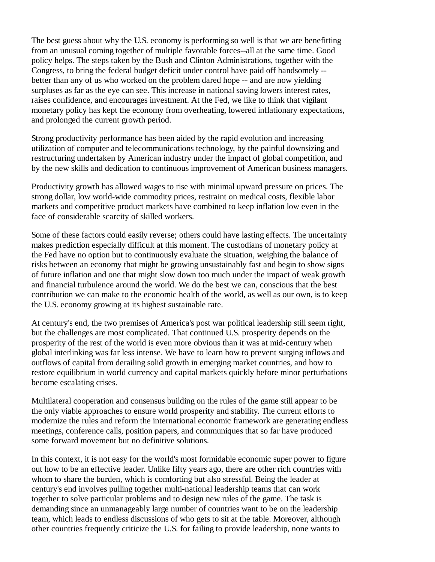The best guess about why the U.S. economy is performing so well is that we are benefitting from an unusual coming together of multiple favorable forces--all at the same time. Good policy helps. The steps taken by the Bush and Clinton Administrations, together with the Congress, to bring the federal budget deficit under control have paid off handsomely - better than any of us who worked on the problem dared hope -- and are now yielding surpluses as far as the eye can see. This increase in national saving lowers interest rates, raises confidence, and encourages investment. At the Fed, we like to think that vigilant monetary policy has kept the economy from overheating, lowered inflationary expectations, and prolonged the current growth period.

Strong productivity performance has been aided by the rapid evolution and increasing utilization of computer and telecommunications technology, by the painful downsizing and restructuring undertaken by American industry under the impact of global competition, and by the new skills and dedication to continuous improvement of American business managers.

Productivity growth has allowed wages to rise with minimal upward pressure on prices. The strong dollar, low world-wide commodity prices, restraint on medical costs, flexible labor markets and competitive product markets have combined to keep inflation low even in the face of considerable scarcity of skilled workers.

Some of these factors could easily reverse; others could have lasting effects. The uncertainty makes prediction especially difficult at this moment. The custodians of monetary policy at the Fed have no option but to continuously evaluate the situation, weighing the balance of risks between an economy that might be growing unsustainably fast and begin to show signs of future inflation and one that might slow down too much under the impact of weak growth and financial turbulence around the world. We do the best we can, conscious that the best contribution we can make to the economic health of the world, as well as our own, is to keep the U.S. economy growing at its highest sustainable rate.

At century's end, the two premises of America's post war political leadership still seem right, but the challenges are most complicated. That continued U.S. prosperity depends on the prosperity of the rest of the world is even more obvious than it was at mid-century when global interlinking was far less intense. We have to learn how to prevent surging inflows and outflows of capital from derailing solid growth in emerging market countries, and how to restore equilibrium in world currency and capital markets quickly before minor perturbations become escalating crises.

Multilateral cooperation and consensus building on the rules of the game still appear to be the only viable approaches to ensure world prosperity and stability. The current efforts to modernize the rules and reform the international economic framework are generating endless meetings, conference calls, position papers, and communiques that so far have produced some forward movement but no definitive solutions.

In this context, it is not easy for the world's most formidable economic super power to figure out how to be an effective leader. Unlike fifty years ago, there are other rich countries with whom to share the burden, which is comforting but also stressful. Being the leader at century's end involves pulling together multi-national leadership teams that can work together to solve particular problems and to design new rules of the game. The task is demanding since an unmanageably large number of countries want to be on the leadership team, which leads to endless discussions of who gets to sit at the table. Moreover, although other countries frequently criticize the U.S. for failing to provide leadership, none wants to